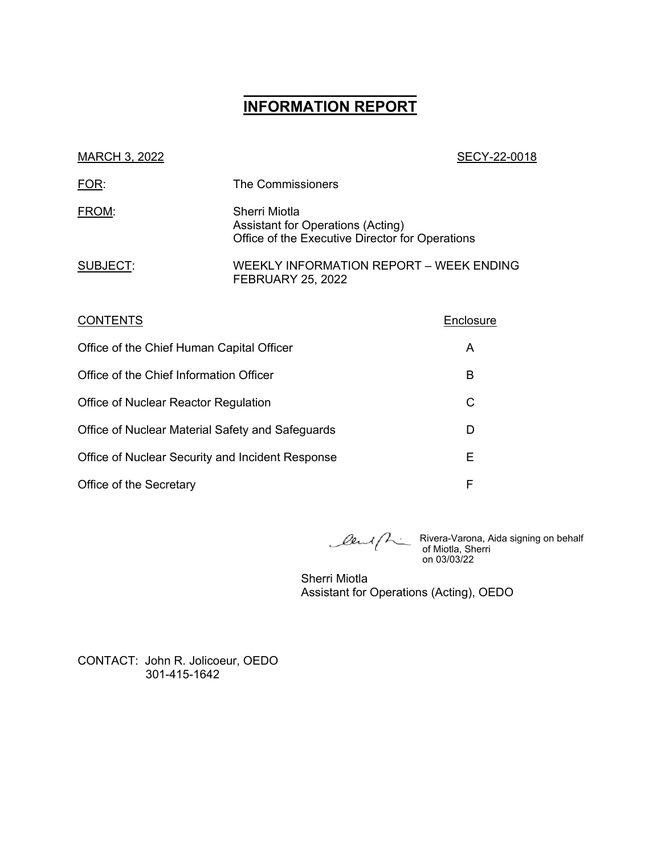# **\_\_\_\_\_\_\_\_\_\_\_\_\_\_\_\_\_\_ INFORMATION REPORT**

| MARCH 3, 2022                                    |                                                                                                       | SECY-22-0018 |
|--------------------------------------------------|-------------------------------------------------------------------------------------------------------|--------------|
| FOR:                                             | The Commissioners                                                                                     |              |
| FROM:                                            | Sherri Miotla<br>Assistant for Operations (Acting)<br>Office of the Executive Director for Operations |              |
| SUBJECT:                                         | WEEKLY INFORMATION REPORT - WEEK ENDING<br><b>FEBRUARY 25, 2022</b>                                   |              |
| <b>CONTENTS</b>                                  |                                                                                                       | Enclosure    |
| Office of the Chief Human Capital Officer        |                                                                                                       | A            |
| Office of the Chief Information Officer          |                                                                                                       | B            |
| Office of Nuclear Reactor Regulation             |                                                                                                       | C            |
| Office of Nuclear Material Safety and Safeguards |                                                                                                       | D            |
| Office of Nuclear Security and Incident Response | Ε                                                                                                     |              |

Office of the Secretary **F** 

Rivera-Varona, Aida signing on behalf of Miotla, Sherri on 03/03/22

Sherri Miotla Assistant for Operations (Acting), OEDO

CONTACT: John R. Jolicoeur, OEDO 301-415-1642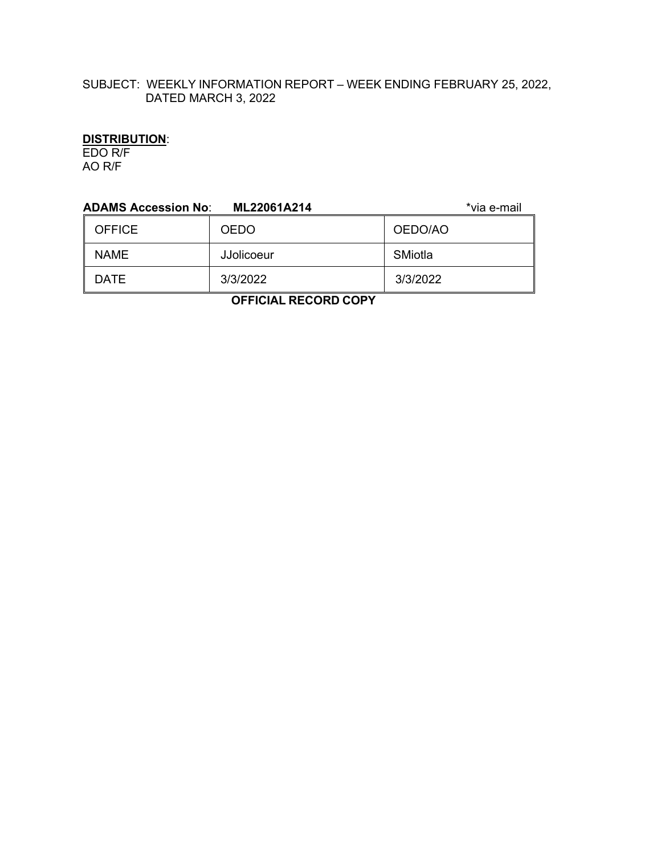# SUBJECT: WEEKLY INFORMATION REPORT – WEEK ENDING FEBRUARY 25, 2022, DATED MARCH 3, 2022

# **DISTRIBUTION**:

EDO R/F AO R/F

| <b>ADAMS Accession No:</b><br>*via e-mail<br>ML22061A214 |                   |          |  |
|----------------------------------------------------------|-------------------|----------|--|
| <b>OFFICE</b>                                            | <b>OEDO</b>       | OEDO/AO  |  |
| <b>NAME</b>                                              | <b>JJolicoeur</b> | SMiotla  |  |
| <b>DATE</b>                                              | 3/3/2022          | 3/3/2022 |  |
|                                                          |                   |          |  |

 **OFFICIAL RECORD COPY**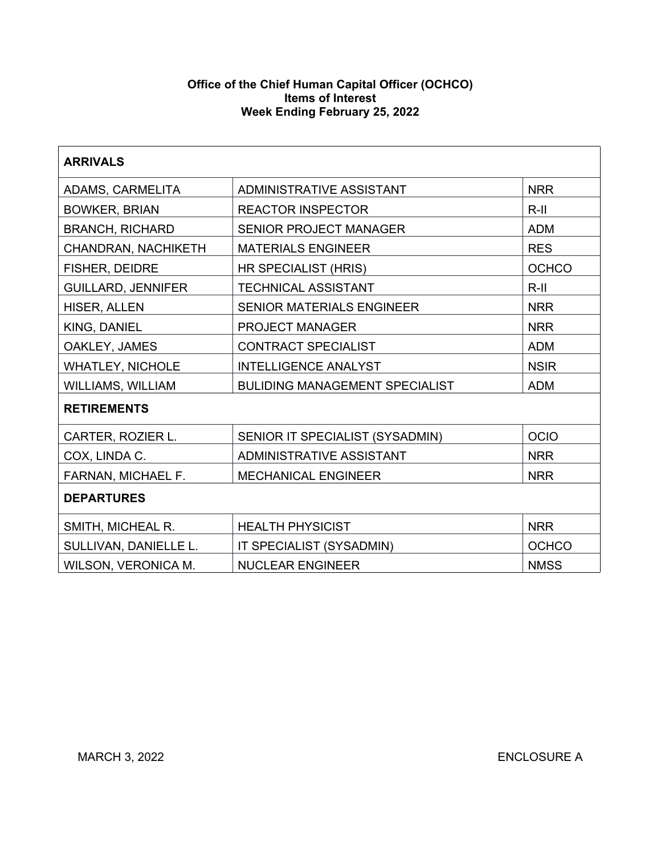#### **Office of the Chief Human Capital Officer (OCHCO) Items of Interest Week Ending February 25, 2022**

| <b>ARRIVALS</b>           |                                                     |              |  |  |
|---------------------------|-----------------------------------------------------|--------------|--|--|
| ADAMS, CARMELITA          | ADMINISTRATIVE ASSISTANT                            | <b>NRR</b>   |  |  |
| <b>BOWKER, BRIAN</b>      | $R-II$<br><b>REACTOR INSPECTOR</b>                  |              |  |  |
| <b>BRANCH, RICHARD</b>    | <b>SENIOR PROJECT MANAGER</b>                       | <b>ADM</b>   |  |  |
| CHANDRAN, NACHIKETH       | <b>MATERIALS ENGINEER</b>                           | <b>RES</b>   |  |  |
| FISHER, DEIDRE            | HR SPECIALIST (HRIS)                                | <b>OCHCO</b> |  |  |
| <b>GUILLARD, JENNIFER</b> | <b>TECHNICAL ASSISTANT</b>                          | $R$ -II      |  |  |
| HISER, ALLEN              | <b>SENIOR MATERIALS ENGINEER</b>                    | <b>NRR</b>   |  |  |
| KING, DANIEL              | PROJECT MANAGER                                     | <b>NRR</b>   |  |  |
| OAKLEY, JAMES             | <b>CONTRACT SPECIALIST</b>                          | <b>ADM</b>   |  |  |
| <b>WHATLEY, NICHOLE</b>   | <b>INTELLIGENCE ANALYST</b>                         | <b>NSIR</b>  |  |  |
| <b>WILLIAMS, WILLIAM</b>  | <b>BULIDING MANAGEMENT SPECIALIST</b><br><b>ADM</b> |              |  |  |
| <b>RETIREMENTS</b>        |                                                     |              |  |  |
| CARTER, ROZIER L.         | SENIOR IT SPECIALIST (SYSADMIN)                     | <b>OCIO</b>  |  |  |
| COX, LINDA C.             | <b>ADMINISTRATIVE ASSISTANT</b>                     | <b>NRR</b>   |  |  |
| FARNAN, MICHAEL F.        | <b>MECHANICAL ENGINEER</b>                          | <b>NRR</b>   |  |  |
| <b>DEPARTURES</b>         |                                                     |              |  |  |
| SMITH, MICHEAL R.         | <b>HEALTH PHYSICIST</b><br><b>NRR</b>               |              |  |  |
| SULLIVAN, DANIELLE L.     | IT SPECIALIST (SYSADMIN)                            | <b>OCHCO</b> |  |  |
| WILSON, VERONICA M.       | <b>NUCLEAR ENGINEER</b>                             | <b>NMSS</b>  |  |  |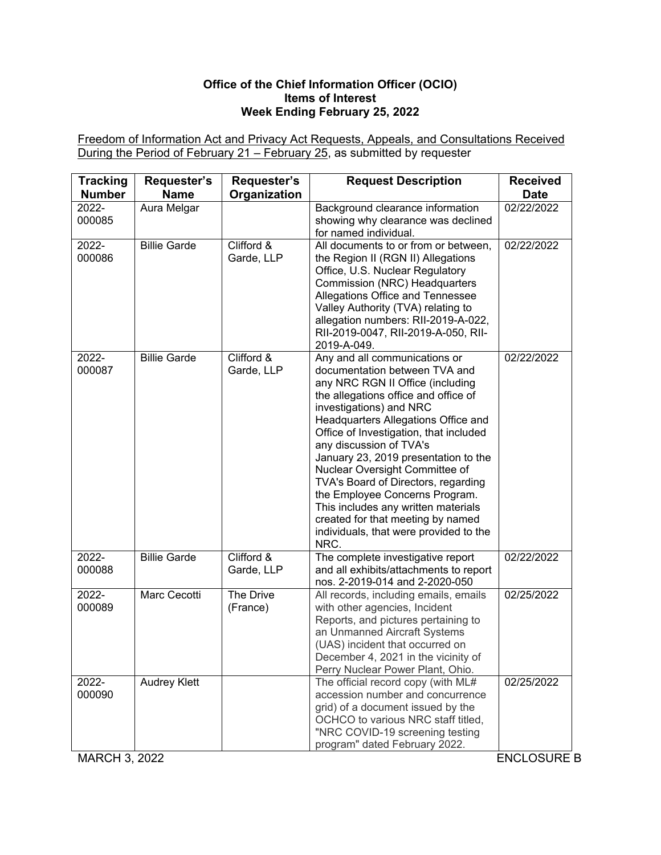### **Office of the Chief Information Officer (OCIO) Items of Interest Week Ending February 25, 2022**

Freedom of Information Act and Privacy Act Requests, Appeals, and Consultations Received During the Period of February 21 – February 25, as submitted by requester

| <b>Tracking</b><br><b>Number</b> | Requester's<br><b>Name</b> | Requester's<br>Organization            | <b>Request Description</b>                                                                                                                                                                                                                                                                                                                                                                                                                                                                                                                                         | <b>Received</b><br><b>Date</b> |
|----------------------------------|----------------------------|----------------------------------------|--------------------------------------------------------------------------------------------------------------------------------------------------------------------------------------------------------------------------------------------------------------------------------------------------------------------------------------------------------------------------------------------------------------------------------------------------------------------------------------------------------------------------------------------------------------------|--------------------------------|
| 2022-<br>000085                  | Aura Melgar                |                                        | Background clearance information<br>showing why clearance was declined<br>for named individual.                                                                                                                                                                                                                                                                                                                                                                                                                                                                    | 02/22/2022                     |
| 2022-<br>000086                  | <b>Billie Garde</b>        | Clifford &<br>Garde, LLP               | All documents to or from or between,<br>the Region II (RGN II) Allegations<br>Office, U.S. Nuclear Regulatory<br>Commission (NRC) Headquarters<br>Allegations Office and Tennessee<br>Valley Authority (TVA) relating to<br>allegation numbers: RII-2019-A-022,<br>RII-2019-0047, RII-2019-A-050, RII-<br>2019-A-049.                                                                                                                                                                                                                                              | 02/22/2022                     |
| 2022-<br>000087                  | <b>Billie Garde</b>        | Clifford $\overline{\&}$<br>Garde, LLP | Any and all communications or<br>documentation between TVA and<br>any NRC RGN II Office (including<br>the allegations office and office of<br>investigations) and NRC<br>Headquarters Allegations Office and<br>Office of Investigation, that included<br>any discussion of TVA's<br>January 23, 2019 presentation to the<br>Nuclear Oversight Committee of<br>TVA's Board of Directors, regarding<br>the Employee Concerns Program.<br>This includes any written materials<br>created for that meeting by named<br>individuals, that were provided to the<br>NRC. | 02/22/2022                     |
| 2022-<br>000088                  | <b>Billie Garde</b>        | Clifford &<br>Garde, LLP               | The complete investigative report<br>and all exhibits/attachments to report<br>nos. 2-2019-014 and 2-2020-050                                                                                                                                                                                                                                                                                                                                                                                                                                                      | 02/22/2022                     |
| 2022-<br>000089                  | Marc Cecotti               | The Drive<br>(France)                  | All records, including emails, emails<br>with other agencies, Incident<br>Reports, and pictures pertaining to<br>an Unmanned Aircraft Systems<br>(UAS) incident that occurred on<br>December 4, 2021 in the vicinity of<br>Perry Nuclear Power Plant, Ohio.                                                                                                                                                                                                                                                                                                        | 02/25/2022                     |
| 2022-<br>000090                  | <b>Audrey Klett</b>        |                                        | The official record copy (with ML#<br>accession number and concurrence<br>grid) of a document issued by the<br>OCHCO to various NRC staff titled,<br>"NRC COVID-19 screening testing<br>program" dated February 2022.                                                                                                                                                                                                                                                                                                                                              | 02/25/2022                     |

MARCH 3, 2022 ENCLOSURE B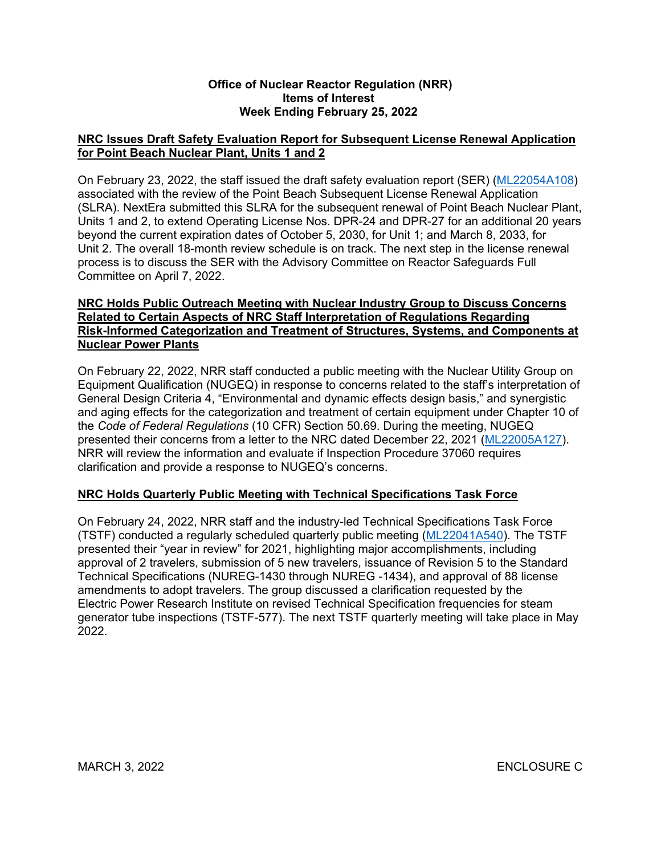#### **Office of Nuclear Reactor Regulation (NRR) Items of Interest Week Ending February 25, 2022**

# **NRC Issues Draft Safety Evaluation Report for Subsequent License Renewal Application for Point Beach Nuclear Plant, Units 1 and 2**

On February 23, 2022, the staff issued the draft safety evaluation report (SER) [\(ML22054A108\)](https://adamsxt.nrc.gov/navigator/AdamsXT/content/downloadContent.faces?objectStoreName=MainLibrary&vsId=%7b8F7D4AEB-8DAD-C3E3-8D85-7F273E800000%7d&ForceBrowserDownloadMgrPrompt=false) associated with the review of the Point Beach Subsequent License Renewal Application (SLRA). NextEra submitted this SLRA for the subsequent renewal of Point Beach Nuclear Plant, Units 1 and 2, to extend Operating License Nos. DPR-24 and DPR-27 for an additional 20 years beyond the current expiration dates of October 5, 2030, for Unit 1; and March 8, 2033, for Unit 2. The overall 18-month review schedule is on track. The next step in the license renewal process is to discuss the SER with the Advisory Committee on Reactor Safeguards Full Committee on April 7, 2022.

## **NRC Holds Public Outreach Meeting with Nuclear Industry Group to Discuss Concerns Related to Certain Aspects of NRC Staff Interpretation of Regulations Regarding Risk-Informed Categorization and Treatment of Structures, Systems, and Components at Nuclear Power Plants**

On February 22, 2022, NRR staff conducted a public meeting with the Nuclear Utility Group on Equipment Qualification (NUGEQ) in response to concerns related to the staff's interpretation of General Design Criteria 4, "Environmental and dynamic effects design basis," and synergistic and aging effects for the categorization and treatment of certain equipment under Chapter 10 of the *Code of Federal Regulations* (10 CFR) Section 50.69. During the meeting, NUGEQ presented their concerns from a letter to the NRC dated December 22, 2021 [\(ML22005A127\)](https://adamsxt.nrc.gov/navigator/AdamsXT/content/downloadContent.faces?objectStoreName=MainLibrary&vsId=%7b31566079-D740-CB1B-8640-7E2AFF200000%7d&ForceBrowserDownloadMgrPrompt=false). NRR will review the information and evaluate if Inspection Procedure 37060 requires clarification and provide a response to NUGEQ's concerns.

# **NRC Holds Quarterly Public Meeting with Technical Specifications Task Force**

On February 24, 2022, NRR staff and the industry-led Technical Specifications Task Force (TSTF) conducted a regularly scheduled quarterly public meeting ([ML22041A540](https://adamsxt.nrc.gov/navigator/AdamsXT/content/downloadContent.faces?objectStoreName=MainLibrary&vsId=%7b1063F971-08AD-C9C1-98CB-7EE4D1400000%7d&ForceBrowserDownloadMgrPrompt=false)). The TSTF presented their "year in review" for 2021, highlighting major accomplishments, including approval of 2 travelers, submission of 5 new travelers, issuance of Revision 5 to the Standard Technical Specifications (NUREG-1430 through NUREG -1434), and approval of 88 license amendments to adopt travelers. The group discussed a clarification requested by the Electric Power Research Institute on revised Technical Specification frequencies for steam generator tube inspections (TSTF-577). The next TSTF quarterly meeting will take place in May  $2022$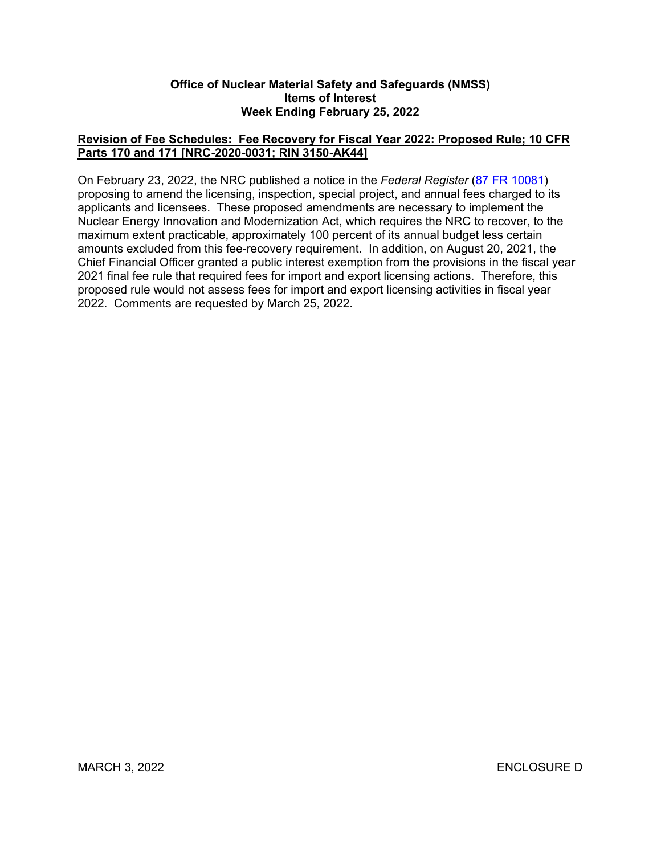#### **Office of Nuclear Material Safety and Safeguards (NMSS) Items of Interest Week Ending February 25, 2022**

# **Revision of Fee Schedules: Fee Recovery for Fiscal Year 2022: Proposed Rule; 10 CFR Parts 170 and 171 [NRC-2020-0031; RIN 3150-AK44]**

On February 23, 2022, the NRC published a notice in the *Federal Register* ([87 FR 10081](https://www.federalregister.gov/d/2022-03715)) proposing to amend the licensing, inspection, special project, and annual fees charged to its applicants and licensees. These proposed amendments are necessary to implement the Nuclear Energy Innovation and Modernization Act, which requires the NRC to recover, to the maximum extent practicable, approximately 100 percent of its annual budget less certain amounts excluded from this fee-recovery requirement. In addition, on August 20, 2021, the Chief Financial Officer granted a public interest exemption from the provisions in the fiscal year 2021 final fee rule that required fees for import and export licensing actions. Therefore, this proposed rule would not assess fees for import and export licensing activities in fiscal year 2022. Comments are requested by March 25, 2022.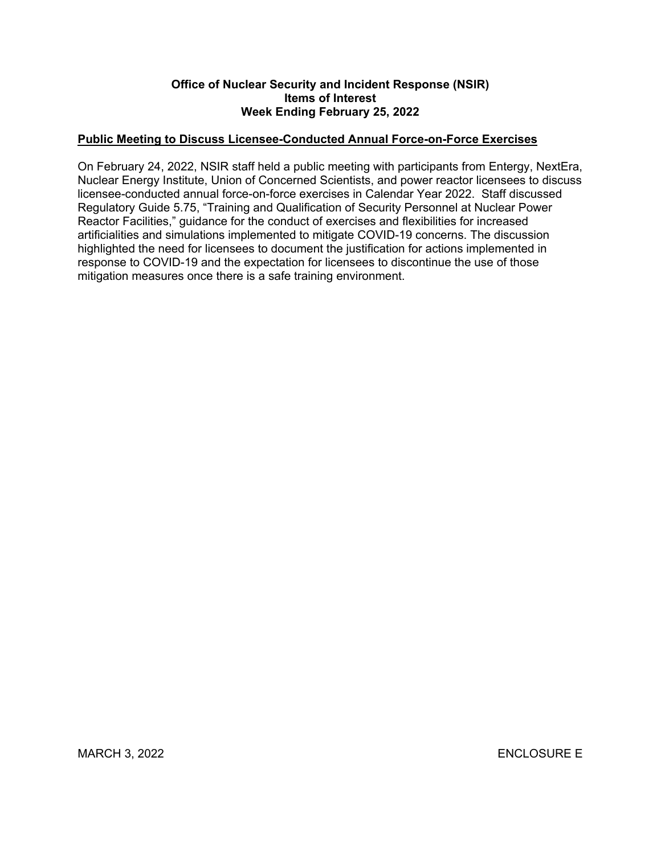### **Office of Nuclear Security and Incident Response (NSIR) Items of Interest Week Ending February 25, 2022**

# **Public Meeting to Discuss Licensee-Conducted Annual Force-on-Force Exercises**

On February 24, 2022, NSIR staff held a public meeting with participants from Entergy, NextEra, Nuclear Energy Institute, Union of Concerned Scientists, and power reactor licensees to discuss licensee-conducted annual force-on-force exercises in Calendar Year 2022. Staff discussed Regulatory Guide 5.75, "Training and Qualification of Security Personnel at Nuclear Power Reactor Facilities," guidance for the conduct of exercises and flexibilities for increased artificialities and simulations implemented to mitigate COVID-19 concerns. The discussion highlighted the need for licensees to document the justification for actions implemented in response to COVID-19 and the expectation for licensees to discontinue the use of those mitigation measures once there is a safe training environment.